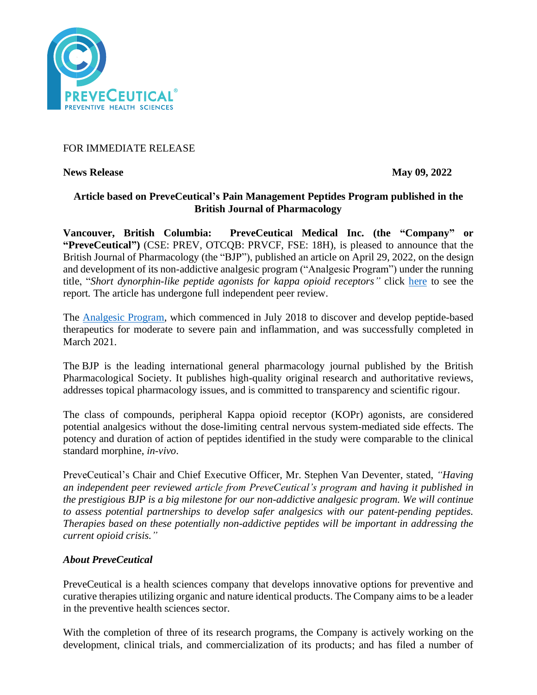

# FOR IMMEDIATE RELEASE

**News Release May 09, 2022** 

## **Article based on PreveCeutical's Pain Management Peptides Program published in the British Journal of Pharmacology**

**Vancouver, British Columbia: PreveCeutical Medical Inc. (the "Company" or "PreveCeutical")** (CSE: PREV, OTCQB: PRVCF, FSE: 18H), is pleased to announce that the British Journal of Pharmacology (the "BJP"), published an article on April 29, 2022, on the design and development of its non-addictive analgesic program ("Analgesic Program") under the running title, "*Short dynorphin-like peptide agonists for kappa opioid receptors"* click [here](https://bpspubs.onlinelibrary.wiley.com/doi/epdf/10.1111/bph.15862) to see the report*.* The article has undergone full independent peer review.

The [Analgesic Program,](https://www.preveceutical.com/pipeline/non-addictive-analgesic/) which commenced in July 2018 to discover and develop peptide-based therapeutics for moderate to severe pain and inflammation, and was successfully completed in March 2021.

The BJP is the leading international general pharmacology journal published by the British Pharmacological Society. It publishes high-quality original research and authoritative reviews, addresses topical pharmacology issues, and is committed to transparency and scientific rigour.

The class of compounds, peripheral Kappa opioid receptor (KOPr) agonists, are considered potential analgesics without the dose-limiting central nervous system-mediated side effects. The potency and duration of action of peptides identified in the study were comparable to the clinical standard morphine, *in-vivo*.

PreveCeutical's Chair and Chief Executive Officer, Mr. Stephen Van Deventer, stated, *"Having an independent peer reviewed article from PreveCeutical's program and having it published in the prestigious BJP is a big milestone for our non-addictive analgesic program. We will continue to assess potential partnerships to develop safer analgesics with our patent-pending peptides. Therapies based on these potentially non-addictive peptides will be important in addressing the current opioid crisis."*

### *About PreveCeutical*

PreveCeutical is a health sciences company that develops innovative options for preventive and curative therapies utilizing organic and nature identical products. The Company aims to be a leader in the preventive health sciences sector.

With the completion of three of its research programs, the Company is actively working on the development, clinical trials, and commercialization of its products; and has filed a number of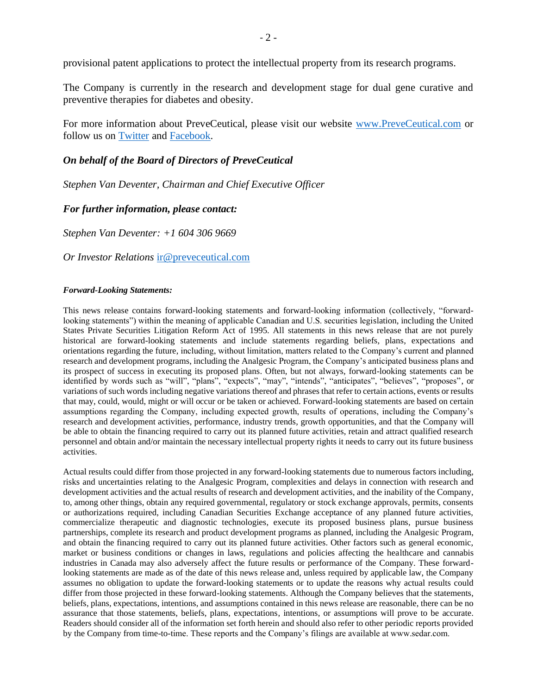provisional patent applications to protect the intellectual property from its research programs.

The Company is currently in the research and development stage for dual gene curative and preventive therapies for diabetes and obesity.

For more information about PreveCeutical, please visit our website [www.PreveCeutical.com](http://www.preveceutical.com/) or follow us on [Twitter](http://twitter.com/PreveCeuticals) and [Facebook.](http://www.facebook.com/PreveCeutical)

#### *On behalf of the Board of Directors of PreveCeutical*

*Stephen Van Deventer, Chairman and Chief Executive Officer*

### *For further information, please contact:*

*Stephen Van Deventer: +1 604 306 9669*

*Or Investor Relations* [ir@preveceutical.com](mailto:ir@preveceutical.com)

#### *Forward-Looking Statements:*

This news release contains forward-looking statements and forward-looking information (collectively, "forwardlooking statements") within the meaning of applicable Canadian and U.S. securities legislation, including the United States Private Securities Litigation Reform Act of 1995. All statements in this news release that are not purely historical are forward-looking statements and include statements regarding beliefs, plans, expectations and orientations regarding the future, including, without limitation, matters related to the Company's current and planned research and development programs, including the Analgesic Program, the Company's anticipated business plans and its prospect of success in executing its proposed plans. Often, but not always, forward-looking statements can be identified by words such as "will", "plans", "expects", "may", "intends", "anticipates", "believes", "proposes", or variations of such words including negative variations thereof and phrases that refer to certain actions, events or results that may, could, would, might or will occur or be taken or achieved. Forward-looking statements are based on certain assumptions regarding the Company, including expected growth, results of operations, including the Company's research and development activities, performance, industry trends, growth opportunities, and that the Company will be able to obtain the financing required to carry out its planned future activities, retain and attract qualified research personnel and obtain and/or maintain the necessary intellectual property rights it needs to carry out its future business activities.

Actual results could differ from those projected in any forward-looking statements due to numerous factors including, risks and uncertainties relating to the Analgesic Program, complexities and delays in connection with research and development activities and the actual results of research and development activities, and the inability of the Company, to, among other things, obtain any required governmental, regulatory or stock exchange approvals, permits, consents or authorizations required, including Canadian Securities Exchange acceptance of any planned future activities, commercialize therapeutic and diagnostic technologies, execute its proposed business plans, pursue business partnerships, complete its research and product development programs as planned, including the Analgesic Program, and obtain the financing required to carry out its planned future activities. Other factors such as general economic, market or business conditions or changes in laws, regulations and policies affecting the healthcare and cannabis industries in Canada may also adversely affect the future results or performance of the Company. These forwardlooking statements are made as of the date of this news release and, unless required by applicable law, the Company assumes no obligation to update the forward-looking statements or to update the reasons why actual results could differ from those projected in these forward-looking statements. Although the Company believes that the statements, beliefs, plans, expectations, intentions, and assumptions contained in this news release are reasonable, there can be no assurance that those statements, beliefs, plans, expectations, intentions, or assumptions will prove to be accurate. Readers should consider all of the information set forth herein and should also refer to other periodic reports provided by the Company from time-to-time. These reports and the Company's filings are available at www.sedar.com.